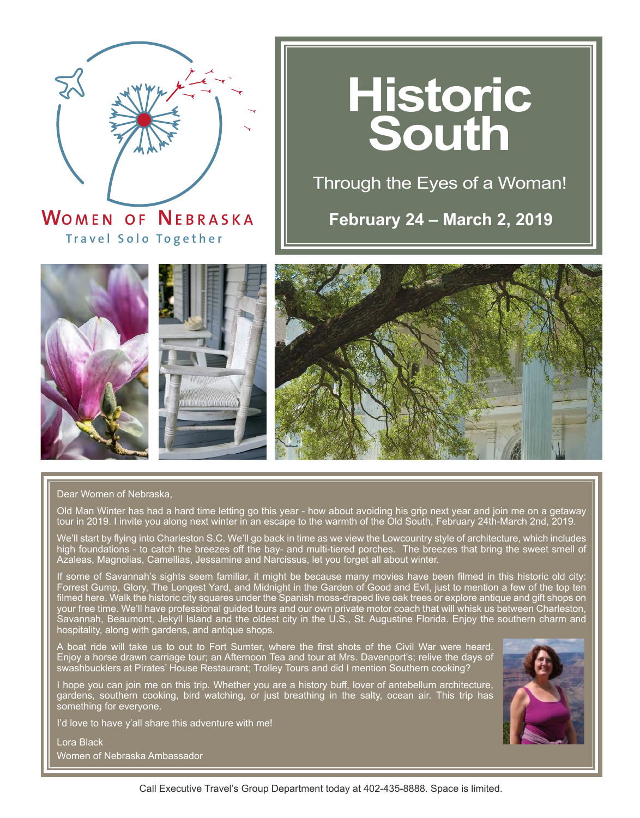

**WO MEN O F NEBRASK <sup>A</sup> T r a v el Solo T o gether**

# **Historic South**

Through the Eyes of a Woman!

**February 24 – March 2, 2019**







#### Dear Women of Nebraska,

Old Man Winter has had a hard time letting go this year - how about avoiding his grip next year and join me on a getaway tour in 2019. I invite you along next winter in an escape to the warmth of the Old South, February 24th-March 2nd, 2019.

We'll start by flying into Charleston S.C. We'll go back in time as we view the Lowcountry style of architecture, which includes high foundations - to catch the breezes off the bay- and multi-tiered porches. The breezes that bring the sweet smell of Azaleas, Magnolias, Camellias, Jessamine and Narcissus, let you forget all about winter.

If some of Savannah's sights seem familiar, it might be because many movies have been filmed in this historic old city: Forrest Gump, Glory, The Longest Yard, and Midnight in the Garden of Good and Evil, just to mention a few of the top ten filmed here. Walk the historic city squares under the Spanish moss-draped live oak trees or explore antique and gift shops on your free time. We'll have professional guided tours and our own private motor coach that will whisk us between Charleston, Savannah, Beaumont, Jekyll Island and the oldest city in the U.S., St. Augustine Florida. Enjoy the southern charm and hospitality, along with gardens, and antique shops.

A boat ride will take us to out to Fort Sumter, where the first shots of the Civil War were heard. Enjoy a horse drawn carriage tour; an Afternoon Tea and tour at Mrs. Davenport's; relive the days of swashbucklers at Pirates' House Restaurant; Trolley Tours and did I mention Southern cooking?

I hope you can join me on this trip. Whether you are a history buff, lover of antebellum architecture, gardens, southern cooking, bird watching, or just breathing in the salty, ocean air. This trip has something for everyone.

I'd love to have y'all share this adventure with me!

Lora Black Women of Nebraska Ambassador

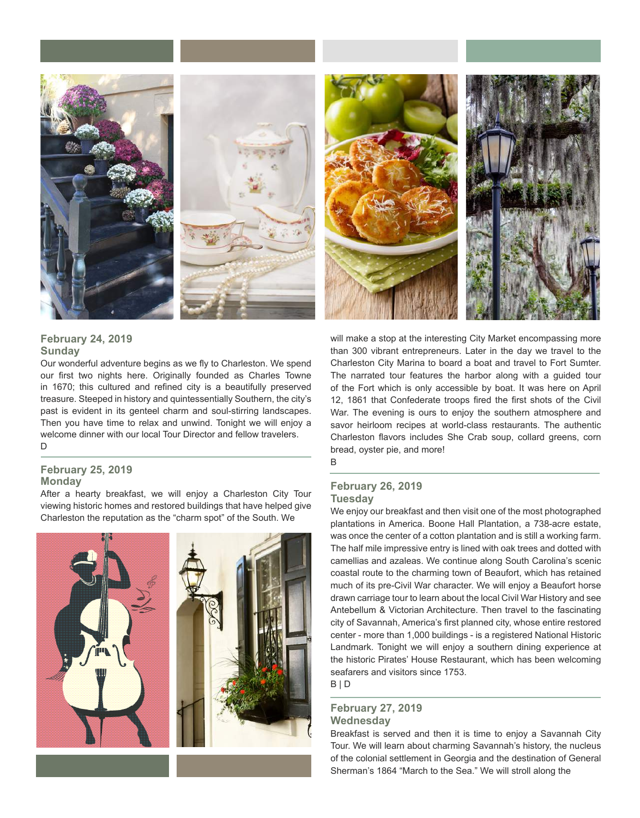

#### **February 24, 2019 Sunday**

Our wonderful adventure begins as we fly to Charleston. We spend our first two nights here. Originally founded as Charles Towne in 1670; this cultured and refined city is a beautifully preserved treasure. Steeped in history and quintessentially Southern, the city's past is evident in its genteel charm and soul-stirring landscapes. Then you have time to relax and unwind. Tonight we will enjoy a welcome dinner with our local Tour Director and fellow travelers. D

#### **February 25, 2019 Monday**

After a hearty breakfast, we will enjoy a Charleston City Tour viewing historic homes and restored buildings that have helped give Charleston the reputation as the "charm spot" of the South. We



will make a stop at the interesting City Market encompassing more than 300 vibrant entrepreneurs. Later in the day we travel to the Charleston City Marina to board a boat and travel to Fort Sumter. The narrated tour features the harbor along with a guided tour of the Fort which is only accessible by boat. It was here on April 12, 1861 that Confederate troops fired the first shots of the Civil War. The evening is ours to enjoy the southern atmosphere and savor heirloom recipes at world-class restaurants. The authentic Charleston flavors includes She Crab soup, collard greens, corn bread, oyster pie, and more!

B

#### **February 26, 2019 Tuesday**

We enjoy our breakfast and then visit one of the most photographed plantations in America. Boone Hall Plantation, a 738-acre estate, was once the center of a cotton plantation and is still a working farm. The half mile impressive entry is lined with oak trees and dotted with camellias and azaleas. We continue along South Carolina's scenic coastal route to the charming town of Beaufort, which has retained much of its pre-Civil War character. We will enjoy a Beaufort horse drawn carriage tour to learn about the local Civil War History and see Antebellum & Victorian Architecture. Then travel to the fascinating city of Savannah, America's first planned city, whose entire restored center - more than 1,000 buildings - is a registered National Historic Landmark. Tonight we will enjoy a southern dining experience at the historic Pirates' House Restaurant, which has been welcoming seafarers and visitors since 1753. B | D

#### **February 27, 2019 Wednesday**

Breakfast is served and then it is time to enjoy a Savannah City Tour. We will learn about charming Savannah's history, the nucleus of the colonial settlement in Georgia and the destination of General Sherman's 1864 "March to the Sea." We will stroll along the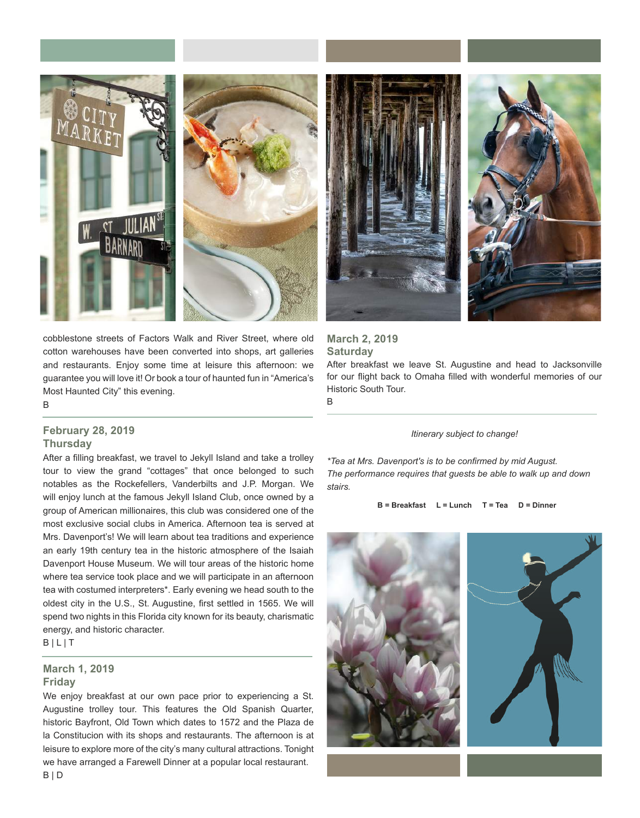



cobblestone streets of Factors Walk and River Street, where old cotton warehouses have been converted into shops, art galleries and restaurants. Enjoy some time at leisure this afternoon: we guarantee you will love it! Or book a tour of haunted fun in "America's Most Haunted City" this evening.

B

#### **February 28, 2019 Thursday**

After a filling breakfast, we travel to Jekyll Island and take a trolley tour to view the grand "cottages" that once belonged to such notables as the Rockefellers, Vanderbilts and J.P. Morgan. We will enjoy lunch at the famous Jekyll Island Club, once owned by a group of American millionaires, this club was considered one of the most exclusive social clubs in America. Afternoon tea is served at Mrs. Davenport's! We will learn about tea traditions and experience an early 19th century tea in the historic atmosphere of the Isaiah Davenport House Museum. We will tour areas of the historic home where tea service took place and we will participate in an afternoon tea with costumed interpreters\*. Early evening we head south to the oldest city in the U.S., St. Augustine, first settled in 1565. We will spend two nights in this Florida city known for its beauty, charismatic energy, and historic character.

 $B | L | T$ 

#### **March 1, 2019**

#### **Friday**

We enjoy breakfast at our own pace prior to experiencing a St. Augustine trolley tour. This features the Old Spanish Quarter, historic Bayfront, Old Town which dates to 1572 and the Plaza de la Constitucion with its shops and restaurants. The afternoon is at leisure to explore more of the city's many cultural attractions. Tonight we have arranged a Farewell Dinner at a popular local restaurant.



#### **March 2, 2019 Saturday**

After breakfast we leave St. Augustine and head to Jacksonville for our flight back to Omaha filled with wonderful memories of our Historic South Tour. B

*Itinerary subject to change!*

*\*Tea at Mrs. Davenport's is to be confirmed by mid August. The performance requires that guests be able to walk up and down stairs.*

**B = Breakfast L = Lunch T = Tea D = Dinner**